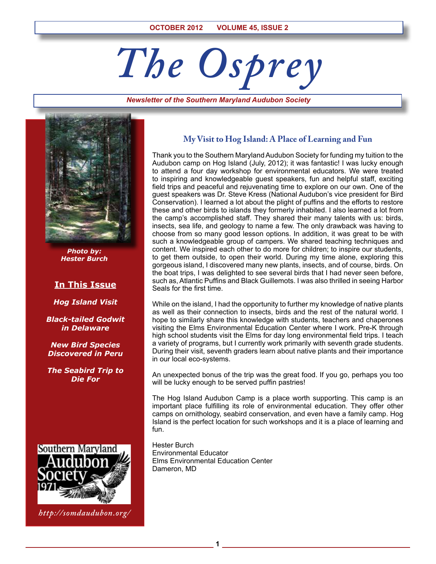# *The Osprey*

#### *Newsletter of the Southern Maryland Audubon Society*



*Photo by: Hester Burch*

# **In This Issue**

*Hog Island Visit*

*Black-tailed Godwit in Delaware*

*New Bird Species Discovered in Peru*

*The Seabird Trip to Die For*



*http://somdaudubon.org/*

## **My Visit to Hog Island: A Place of Learning and Fun**

Thank you to the Southern Maryland Audubon Society for funding my tuition to the Audubon camp on Hog Island (July, 2012); it was fantastic! I was lucky enough to attend a four day workshop for environmental educators. We were treated to inspiring and knowledgeable guest speakers, fun and helpful staff, exciting field trips and peaceful and rejuvenating time to explore on our own. One of the guest speakers was Dr. Steve Kress (National Audubon's vice president for Bird Conservation). I learned a lot about the plight of puffins and the efforts to restore these and other birds to islands they formerly inhabited. I also learned a lot from the camp's accomplished staff. They shared their many talents with us: birds, insects, sea life, and geology to name a few. The only drawback was having to choose from so many good lesson options. In addition, it was great to be with such a knowledgeable group of campers. We shared teaching techniques and content. We inspired each other to do more for children; to inspire our students, to get them outside, to open their world. During my time alone, exploring this gorgeous island, I discovered many new plants, insects, and of course, birds. On the boat trips, I was delighted to see several birds that I had never seen before, such as, Atlantic Puffins and Black Guillemots. I was also thrilled in seeing Harbor Seals for the first time.

While on the island, I had the opportunity to further my knowledge of native plants as well as their connection to insects, birds and the rest of the natural world. I hope to similarly share this knowledge with students, teachers and chaperones visiting the Elms Environmental Education Center where I work. Pre-K through high school students visit the Elms for day long environmental field trips. I teach a variety of programs, but I currently work primarily with seventh grade students. During their visit, seventh graders learn about native plants and their importance in our local eco-systems.

An unexpected bonus of the trip was the great food. If you go, perhaps you too will be lucky enough to be served puffin pastries!

The Hog Island Audubon Camp is a place worth supporting. This camp is an important place fulfilling its role of environmental education. They offer other camps on ornithology, seabird conservation, and even have a family camp. Hog Island is the perfect location for such workshops and it is a place of learning and fun.

Hester Burch Environmental Educator Elms Environmental Education Center Dameron, MD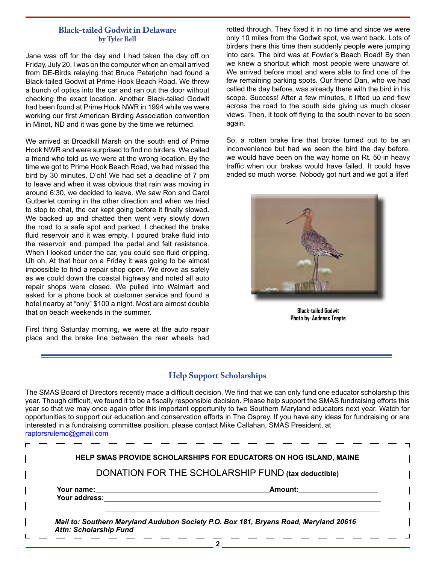# **Black-tailed Godwit in Delaware by Tyler Bell**

Jane was off for the day and I had taken the day off on Friday, July 20. I was on the computer when an email arrived from DE-Birds relaying that Bruce Peterjohn had found a Black-tailed Godwit at Prime Hook Beach Road. We threw a bunch of optics into the car and ran out the door without checking the exact location. Another Black-tailed Godwit had been found at Prime Hook NWR in 1994 while we were working our first American Birding Association convention in Minot, ND and it was gone by the time we returned.

We arrived at Broadkill Marsh on the south end of Prime Hook NWR and were surprised to find no birders. We called a friend who told us we were at the wrong location. By the time we got to Prime Hook Beach Road, we had missed the bird by 30 minutes. D'oh! We had set a deadline of 7 pm to leave and when it was obvious that rain was moving in around 6:30, we decided to leave. We saw Ron and Carol Gutberlet coming in the other direction and when we tried to stop to chat, the car kept going before it finally slowed. We backed up and chatted then went very slowly down the road to a safe spot and parked. I checked the brake fluid reservoir and it was empty. I poured brake fluid into the reservoir and pumped the pedal and felt resistance. When I looked under the car, you could see fluid dripping. Uh oh. At that hour on a Friday it was going to be almost impossible to find a repair shop open. We drove as safely as we could down the coastal highway and noted all auto repair shops were closed. We pulled into Walmart and asked for a phone book at customer service and found a hotel nearby at "only" \$100 a night. Most are almost double that on beach weekends in the summer.

First thing Saturday morning, we were at the auto repair place and the brake line between the rear wheels had rotted through. They fixed it in no time and since we were only 10 miles from the Godwit spot, we went back. Lots of birders there this time then suddenly people were jumping into cars. The bird was at Fowler's Beach Road! By then we knew a shortcut which most people were unaware of. We arrived before most and were able to find one of the few remaining parking spots. Our friend Dan, who we had called the day before, was already there with the bird in his scope. Success! After a few minutes, it lifted up and flew across the road to the south side giving us much closer views. Then, it took off flying to the south never to be seen again.

So, a rotten brake line that broke turned out to be an inconvenience but had we seen the bird the day before, we would have been on the way home on Rt. 50 in heavy traffic when our brakes would have failed. It could have ended so much worse. Nobody got hurt and we got a lifer!



**Black-tailed Godwit Photo by: Andreas Trepte**

# **Help Support Scholarships**

The SMAS Board of Directors recently made a difficult decision. We find that we can only fund one educator scholarship this year. Though difficult, we found it to be a fiscally responsible decision. Please help support the SMAS fundraising efforts this year so that we may once again offer this important opportunity to two Southern Maryland educators next year. Watch for opportunities to support our education and conservation efforts in The Osprey. If you have any ideas for fundraising or are interested in a fundraising committee position, please contact Mike Callahan, SMAS President, at raptorsrulemc@gmail.com

| HELP SMAS PROVIDE SCHOLARSHIPS FOR EDUCATORS ON HOG ISLAND, MAINE                                                     |  |  |  |  |  |  |  |
|-----------------------------------------------------------------------------------------------------------------------|--|--|--|--|--|--|--|
| DONATION FOR THE SCHOLARSHIP FUND (tax deductible)                                                                    |  |  |  |  |  |  |  |
| Amount:<br>Your name:<br>Your address:                                                                                |  |  |  |  |  |  |  |
|                                                                                                                       |  |  |  |  |  |  |  |
| Mail to: Southern Maryland Audubon Society P.O. Box 181, Bryans Road, Maryland 20616<br><b>Attn: Scholarship Fund</b> |  |  |  |  |  |  |  |
|                                                                                                                       |  |  |  |  |  |  |  |

**2**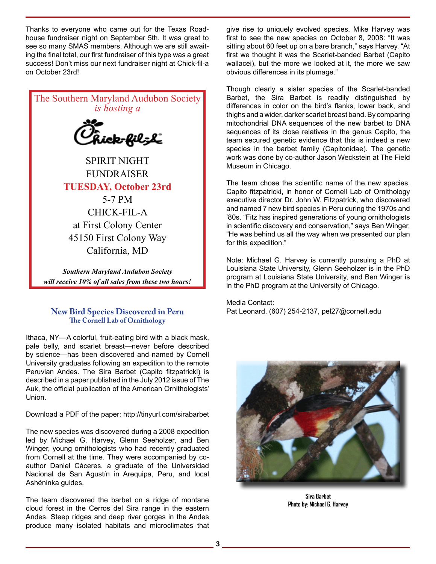Thanks to everyone who came out for the Texas Roadhouse fundraiser night on September 5th. It was great to see so many SMAS members. Although we are still awaiting the final total, our first fundraiser of this type was a great success! Don't miss our next fundraiser night at Chick-fil-a on October 23rd!



*will receive 10% of all sales from these two hours!*

# **New Bird Species Discovered in Peru The Cornell Lab of Ornithology**

Ithaca, NY—A colorful, fruit-eating bird with a black mask, pale belly, and scarlet breast—never before described by science—has been discovered and named by Cornell University graduates following an expedition to the remote Peruvian Andes. The Sira Barbet (Capito fitzpatricki) is described in a paper published in the July 2012 issue of The Auk, the official publication of the American Ornithologists' Union.

Download a PDF of the paper: http://tinyurl.com/sirabarbet

The new species was discovered during a 2008 expedition led by Michael G. Harvey, Glenn Seeholzer, and Ben Winger, young ornithologists who had recently graduated from Cornell at the time. They were accompanied by coauthor Daniel Cáceres, a graduate of the Universidad Nacional de San Agustín in Arequipa, Peru, and local Ashéninka guides.

The team discovered the barbet on a ridge of montane cloud forest in the Cerros del Sira range in the eastern Andes. Steep ridges and deep river gorges in the Andes produce many isolated habitats and microclimates that give rise to uniquely evolved species. Mike Harvey was first to see the new species on October 8, 2008: "It was sitting about 60 feet up on a bare branch," says Harvey. "At first we thought it was the Scarlet-banded Barbet (Capito wallacei), but the more we looked at it, the more we saw obvious differences in its plumage."

Though clearly a sister species of the Scarlet-banded Barbet, the Sira Barbet is readily distinguished by differences in color on the bird's flanks, lower back, and thighs and a wider, darker scarlet breast band. By comparing mitochondrial DNA sequences of the new barbet to DNA sequences of its close relatives in the genus Capito, the team secured genetic evidence that this is indeed a new species in the barbet family (Capitonidae). The genetic work was done by co-author Jason Weckstein at The Field Museum in Chicago.

The team chose the scientific name of the new species, Capito fitzpatricki, in honor of Cornell Lab of Ornithology executive director Dr. John W. Fitzpatrick, who discovered and named 7 new bird species in Peru during the 1970s and '80s. "Fitz has inspired generations of young ornithologists in scientific discovery and conservation," says Ben Winger. "He was behind us all the way when we presented our plan for this expedition."

Note: Michael G. Harvey is currently pursuing a PhD at Louisiana State University, Glenn Seeholzer is in the PhD program at Louisiana State University, and Ben Winger is in the PhD program at the University of Chicago.

Media Contact: Pat Leonard, (607) 254-2137, pel27@cornell.edu



**Sira Barbet Photo by: Michael G. Harvey**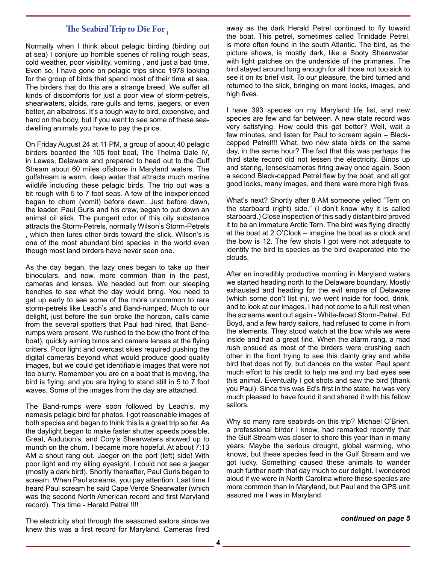# **The Seabird Trip to Die For 1**

Normally when I think about pelagic birding (birding out at sea) I conjure up horrible scenes of rolling rough seas, cold weather, poor visibility, vomiting , and just a bad time. Even so, I have gone on pelagic trips since 1978 looking for the group of birds that spend most of their time at sea. The birders that do this are a strange breed. We suffer all kinds of discomforts for just a poor view of storm-petrels, shearwaters, alcids, rare gulls and terns, jaegers, or even better, an albatross. It's a tough way to bird, expensive, and hard on the body, but if you want to see some of these seadwelling animals you have to pay the price.

On Friday August 24 at 11 PM, a group of about 40 pelagic birders boarded the 105 foot boat, The Thelma Dale IV, in Lewes, Delaware and prepared to head out to the Gulf Stream about 60 miles offshore in Maryland waters. The gulfstream is warm, deep water that attracts much marine wildlife including these pelagic birds. The trip out was a bit rough with 5 to 7 foot seas. A few of the inexperienced began to chum (vomit) before dawn. Just before dawn, the leader, Paul Guris and his crew, began to put down an animal oil slick. The pungent odor of this oily substance attracts the Storm-Petrels, normally Wilson's Storm-Petrels , which then lures other birds toward the slick. Wilson's is one of the most abundant bird species in the world even though most land birders have never seen one.

As the day began, the lazy ones began to take up their binoculars, and now, more common than in the past, cameras and lenses. We headed out from our sleeping benches to see what the day would bring. You need to get up early to see some of the more uncommon to rare storm-petrels like Leach's and Band-rumped. Much to our delight, just before the sun broke the horizon, calls came from the several spotters that Paul had hired, that Bandrumps were present. We rushed to the bow (the front of the boat), quickly aiming binos and camera lenses at the flying critters. Poor light and overcast skies required pushing the digital cameras beyond what would produce good quality images, but we could get identifiable images that were not too blurry. Remember you are on a boat that is moving, the bird is flying, and you are trying to stand still in 5 to 7 foot waves. Some of the images from the day are attached.

The Band-rumps were soon followed by Leach's, my nemesis pelagic bird for photos. I got reasonable images of both species and began to think this is a great trip so far. As the daylight began to make faster shutter speeds possible, Great, Audubon's, and Cory's Shearwaters showed up to munch on the chum. I became more hopeful. At about 7:13 AM a shout rang out. Jaeger on the port (left) side! With poor light and my ailing eyesight, I could not see a jaeger (mostly a dark bird). Shortly thereafter, Paul Guris began to scream. When Paul screams, you pay attention. Last time I heard Paul scream he said Cape Verde Shearwater (which was the second North American record and first Maryland record). This time - Herald Petrel !!!!

The electricity shot through the seasoned sailors since we knew this was a first record for Maryland. Cameras fired away as the dark Herald Petrel continued to fly toward the boat. This petrel, sometimes called Trinidade Petrel, is more often found in the south Atlantic. The bird, as the picture shows, is mostly dark, like a Sooty Shearwater, with light patches on the underside of the primaries. The bird stayed around long enough for all those not too sick to see it on its brief visit. To our pleasure, the bird turned and returned to the slick, bringing on more looks, images, and high fives.

I have 393 species on my Maryland life list, and new species are few and far between. A new state record was very satisfying. How could this get better? Well, wait a few minutes, and listen for Paul to scream again – Blackcapped Petrel!!! What, two new state birds on the same day, in the same hour? The fact that this was perhaps the third state record did not lessen the electricity. Binos up and staring, lenses/cameras firing away once again. Soon a second Black-capped Petrel flew by the boat, and all got good looks, many images, and there were more high fives.

What's next? Shortly after 8 AM someone yelled "Tern on the starboard (right) side." (I don't know why it is called starboard.) Close inspection of this sadly distant bird proved it to be an immature Arctic Tern. The bird was flying directly at the boat at 2 O'Clock – imagine the boat as a clock and the bow is 12. The few shots I got were not adequate to identify the bird to species as the bird evaporated into the clouds.

After an incredibly productive morning in Maryland waters we started heading north to the Delaware boundary. Mostly exhausted and heading for the evil empire of Delaware (which some don't list in), we went inside for food, drink, and to look at our images. I had not come to a full rest when the screams went out again - White-faced Storm-Petrel. Ed Boyd, and a few hardy sailors, had refused to come in from the elements. They stood watch at the bow while we were inside and had a great find. When the alarm rang, a mad rush ensued as most of the birders were crushing each other in the front trying to see this dainty gray and white bird that does not fly, but dances on the water. Paul spent much effort to his credit to help me and my bad eyes see this animal. Eventually I got shots and saw the bird (thank you Paul). Since this was Ed's first in the state, he was very much pleased to have found it and shared it with his fellow sailors.

Why so many rare seabirds on this trip? Michael O'Brien, a professional birder I know, had remarked recently that the Gulf Stream was closer to shore this year than in many years. Maybe the serious drought, global warming, who knows, but these species feed in the Gulf Stream and we got lucky. Something caused these animals to wander much further north that day much to our delight. I wondered aloud if we were in North Carolina where these species are more common than in Maryland, but Paul and the GPS unit assured me I was in Maryland.

*continued on page 5*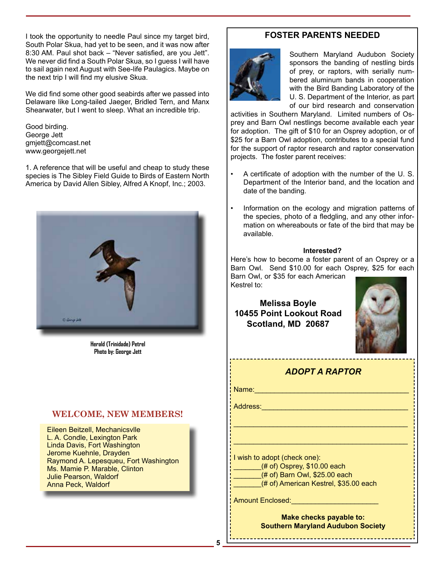I took the opportunity to needle Paul since my target bird, South Polar Skua, had yet to be seen, and it was now after 8:30 AM. Paul shot back – "Never satisfied, are you Jett". We never did find a South Polar Skua, so I guess I will have to sail again next August with See-life Paulagics. Maybe on the next trip I will find my elusive Skua.

We did find some other good seabirds after we passed into Delaware like Long-tailed Jaeger, Bridled Tern, and Manx Shearwater, but I went to sleep. What an incredible trip.

Good birding. George Jett gmjett@comcast.net www.georgejett.net

1. A reference that will be useful and cheap to study these species is The Sibley Field Guide to Birds of Eastern North America by David Allen Sibley, Alfred A Knopf, Inc.; 2003.



**Herald (Trinidade) Petrel Photo by: George Jett**

# **WELCOME, NEW MEMBERS!**

Eileen Beitzell, Mechanicsvlle L. A. Condle, Lexington Park Linda Davis, Fort Washington Jerome Kuehnle, Drayden Raymond A. Lepesqueu, Fort Washington Ms. Mamie P. Marable, Clinton Julie Pearson, Waldorf Anna Peck, Waldorf

# **FOSTER PARENTS NEEDED**



Southern Maryland Audubon Society sponsors the banding of nestling birds of prey, or raptors, with serially numbered aluminum bands in cooperation with the Bird Banding Laboratory of the U. S. Department of the Interior, as part of our bird research and conservation

activities in Southern Maryland. Limited numbers of Osprey and Barn Owl nestlings become available each year for adoption. The gift of \$10 for an Osprey adoption, or of \$25 for a Barn Owl adoption, contributes to a special fund for the support of raptor research and raptor conservation projects. The foster parent receives:

- A certificate of adoption with the number of the U. S. Department of the Interior band, and the location and date of the banding.
- Information on the ecology and migration patterns of the species, photo of a fledgling, and any other information on whereabouts or fate of the bird that may be available.

### **Interested?**

Here's how to become a foster parent of an Osprey or a Barn Owl. Send \$10.00 for each Osprey, \$25 for each Barn Owl, or \$35 for each American

Kestrel to:

**Melissa Boyle 10455 Point Lookout Road Scotland, MD 20687**



# *ADOPT A RAPTOR*

\_\_\_\_\_\_\_\_\_\_\_\_\_\_\_\_\_\_\_\_\_\_\_\_\_\_\_\_\_\_\_\_\_\_\_\_\_\_\_\_\_\_\_\_

\_\_\_\_\_\_\_\_\_\_\_\_\_\_\_\_\_\_\_\_\_\_\_\_\_\_\_\_\_\_\_\_\_\_\_\_\_\_\_\_\_\_\_\_

Name:\_\_\_\_\_\_\_\_\_\_\_\_\_\_\_\_\_\_\_\_\_\_\_\_\_\_\_\_\_\_\_\_\_\_\_\_\_\_\_

Address:

I wish to adopt (check one):  $($ # of) Osprey, \$10.00 each (# of) Barn Owl, \$25.00 each (# of) American Kestrel, \$35.00 each

Amount Enclosed:\_\_\_\_\_\_\_\_\_\_\_\_\_\_\_\_\_\_\_\_\_\_

**Make checks payable to: Southern Maryland Audubon Society**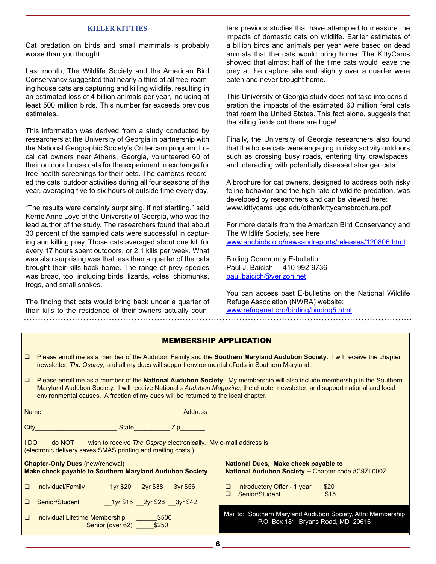#### **KILLER KITTIES**

Cat predation on birds and small mammals is probably worse than you thought.

Last month, The Wildlife Society and the American Bird Conservancy suggested that nearly a third of all free-roaming house cats are capturing and killing wildlife, resulting in an estimated loss of 4 billion animals per year, including at least 500 million birds. This number far exceeds previous estimates.

This information was derived from a study conducted by researchers at the University of Georgia in partnership with the National Geographic Society's Crittercam program. Local cat owners near Athens, Georgia, volunteered 60 of their outdoor house cats for the experiment in exchange for free health screenings for their pets. The cameras recorded the cats' outdoor activities during all four seasons of the year, averaging five to six hours of outside time every day.

"The results were certainly surprising, if not startling," said Kerrie Anne Loyd of the University of Georgia, who was the lead author of the study. The researchers found that about 30 percent of the sampled cats were successful in capturing and killing prey. Those cats averaged about one kill for every 17 hours spent outdoors, or 2.1 kills per week. What was also surprising was that less than a quarter of the cats brought their kills back home. The range of prey species was broad, too, including birds, lizards, voles, chipmunks, frogs, and small snakes.

The finding that cats would bring back under a quarter of their kills to the residence of their owners actually coun-

ters previous studies that have attempted to measure the impacts of domestic cats on wildlife. Earlier estimates of a billion birds and animals per year were based on dead animals that the cats would bring home. The KittyCams showed that almost half of the time cats would leave the prey at the capture site and slightly over a quarter were eaten and never brought home.

This University of Georgia study does not take into consideration the impacts of the estimated 60 million feral cats that roam the United States. This fact alone, suggests that the killing fields out there are huge!

Finally, the University of Georgia researchers also found that the house cats were engaging in risky activity outdoors such as crossing busy roads, entering tiny crawlspaces, and interacting with potentially diseased stranger cats.

A brochure for cat owners, designed to address both risky feline behavior and the high rate of wildlife predation, was developed by researchers and can be viewed here: www.kittycams.uga.edu/other/kittycamsbrochure.pdf

For more details from the American Bird Conservancy and The Wildlife Society, see here: www.abcbirds.org/newsandreports/releases/120806.html

Birding Community E-bulletin Paul J. Baicich 410-992-9736 paul.baicich@verizon.net

You can access past E-bulletins on the National Wildlife Refuge Association (NWRA) website: www.refugenet.org/birding/birding5.html

#### MEMBERSHIP APPLICATION

| □ Please enroll me as a member of the Audubon Family and the Southern Maryland Audubon Society. I will receive the chapter |
|----------------------------------------------------------------------------------------------------------------------------|
| newsletter, The Osprey, and all my dues will support environmental efforts in Southern Maryland.                           |

 Please enroll me as a member of the **National Audubon Society**. My membership will also include membership in the Southern Maryland Audubon Society. I will receive National's *Audubon Magazine*, the chapter newsletter, and support national and local environmental causes. A fraction of my dues will be returned to the local chapter.

| Name                                                                                                                                                |                                                                      | Address |        |                                                                                                    |              |  |  |  |  |
|-----------------------------------------------------------------------------------------------------------------------------------------------------|----------------------------------------------------------------------|---------|--------|----------------------------------------------------------------------------------------------------|--------------|--|--|--|--|
| City                                                                                                                                                | State Zip                                                            |         |        |                                                                                                    |              |  |  |  |  |
| do NOT<br>I DO.<br>wish to receive The Osprey electronically. My e-mail address is:<br>(electronic delivery saves SMAS printing and mailing costs.) |                                                                      |         |        |                                                                                                    |              |  |  |  |  |
| <b>Chapter-Only Dues (new/renewal)</b><br>Make check payable to Southern Maryland Audubon Society                                                   |                                                                      |         |        | National Dues, Make check payable to<br>National Audubon Society -- Chapter code #C9ZL000Z         |              |  |  |  |  |
| $\Box$                                                                                                                                              | Individual/Family<br>1yr \$20 2yr \$38 3yr \$56                      |         | ⊔<br>◻ | Introductory Offer - 1 year<br>Senior/Student                                                      | \$20<br>\$15 |  |  |  |  |
| □                                                                                                                                                   | 1yr \$15 2yr \$28 3yr \$42<br>Senior/Student                         |         |        |                                                                                                    |              |  |  |  |  |
| $\Box$                                                                                                                                              | Individual Lifetime Membership<br>\$500<br>\$250<br>Senior (over 62) |         |        | Mail to: Southern Maryland Audubon Society, Attn: Membership<br>P.O. Box 181 Bryans Road, MD 20616 |              |  |  |  |  |